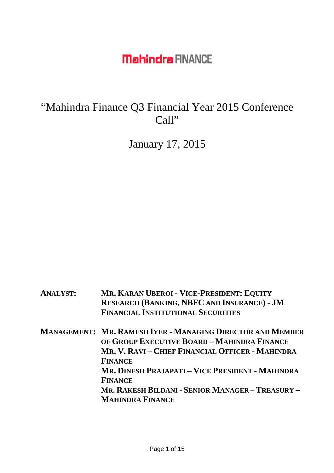"Mahindra Finance Q3 Financial Year 2015 Conference Call"

January 17, 2015

| <b>ANALYST:</b> | MR. KARAN UBEROI - VICE-PRESIDENT: EQUITY<br><b>RESEARCH (BANKING, NBFC AND INSURANCE) - JM</b><br><b>FINANCIAL INSTITUTIONAL SECURITIES</b>                                           |
|-----------------|----------------------------------------------------------------------------------------------------------------------------------------------------------------------------------------|
|                 | <b>MANAGEMENT: MR. RAMESH IYER - MANAGING DIRECTOR AND MEMBER</b><br>OF GROUP EXECUTIVE BOARD - MAHINDRA FINANCE<br>MR. V. RAVI – CHIEF FINANCIAL OFFICER - MAHINDRA<br><b>FINANCE</b> |
|                 | MR. DINESH PRAJAPATI – VICE PRESIDENT - MAHINDRA<br><b>FINANCE</b><br>MR. RAKESH BILDANI - SENIOR MANAGER - TREASURY -                                                                 |
|                 | <b>MAHINDRA FINANCE</b>                                                                                                                                                                |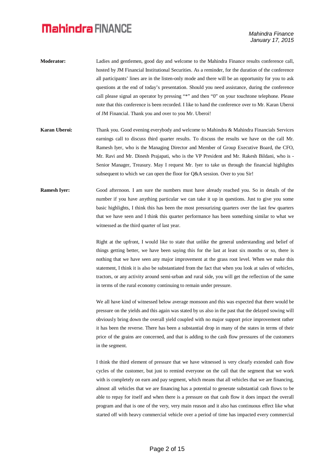- **Moderator:** Ladies and gentlemen, good day and welcome to the Mahindra Finance results conference call, hosted by JM Financial Institutional Securities. As a reminder, for the duration of the conference all participants' lines are in the listen-only mode and there will be an opportunity for you to ask questions at the end of today's presentation. Should you need assistance, during the conference call please signal an operator by pressing "\*" and then "0" on your touchtone telephone. Please note that this conference is been recorded. I like to hand the conference over to Mr. Karan Uberoi of JM Financial. Thank you and over to you Mr. Uberoi!
- **Karan Uberoi:** Thank you. Good evening everybody and welcome to Mahindra & Mahindra Financials Services earnings call to discuss third quarter results. To discuss the results we have on the call Mr. Ramesh Iyer, who is the Managing Director and Member of Group Executive Board, the CFO, Mr. Ravi and Mr. Dinesh Prajapati, who is the VP President and Mr. Rakesh Bildani, who is - Senior Manager, Treasury. May I request Mr. Iyer to take us through the financial highlights subsequent to which we can open the floor for Q&A session. Over to you Sir!
- **Ramesh Iyer:** Good afternoon. I am sure the numbers must have already reached you. So in details of the number if you have anything particular we can take it up in questions. Just to give you some basic highlights, I think this has been the most pressurizing quarters over the last few quarters that we have seen and I think this quarter performance has been something similar to what we witnessed as the third quarter of last year.

Right at the upfront, I would like to state that unlike the general understanding and belief of things getting better, we have been saying this for the last at least six months or so, there is nothing that we have seen any major improvement at the grass root level. When we make this statement, I think it is also be substantiated from the fact that when you look at sales of vehicles, tractors, or any activity around semi-urban and rural side, you will get the reflection of the same in terms of the rural economy continuing to remain under pressure.

We all have kind of witnessed below average monsoon and this was expected that there would be pressure on the yields and this again was stated by us also in the past that the delayed sowing will obviously bring down the overall yield coupled with no major support price improvement rather it has been the reverse. There has been a substantial drop in many of the states in terms of their price of the grains are concerned, and that is adding to the cash flow pressures of the customers in the segment.

I think the third element of pressure that we have witnessed is very clearly extended cash flow cycles of the customer, but just to remind everyone on the call that the segment that we work with is completely on earn and pay segment, which means that all vehicles that we are financing, almost all vehicles that we are financing has a potential to generate substantial cash flows to be able to repay for itself and when there is a pressure on that cash flow it does impact the overall program and that is one of the very, very main reason and it also has continuous effect like what started off with heavy commercial vehicle over a period of time has impacted every commercial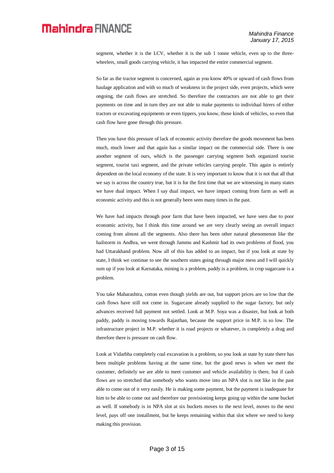segment, whether it is the LCV, whether it is the sub 1 tonne vehicle, even up to the threewheelers, small goods carrying vehicle, it has impacted the entire commercial segment.

So far as the tractor segment is concerned, again as you know 40% or upward of cash flows from haulage application and with so much of weakness in the project side, even projects, which were ongoing, the cash flows are stretched. So therefore the contractors are not able to get their payments on time and in turn they are not able to make payments to individual hirers of either tractors or excavating equipments or even tippers, you know, those kinds of vehicles, so even that cash flow have gone through this pressure.

Then you have this pressure of lack of economic activity therefore the goods movement has been much, much lower and that again has a similar impact on the commercial side. There is one another segment of ours, which is the passenger carrying segment both organized tourist segment, tourist taxi segment, and the private vehicles carrying people. This again is entirely dependent on the local economy of the state. It is very important to know that it is not that all that we say is across the country true, but it is for the first time that we are witnessing in many states we have dual impact. When I say dual impact, we have impact coming from farm as well as economic activity and this is not generally been seen many times in the past.

We have had impacts through poor farm that have been impacted, we have seen due to poor economic activity, but I think this time around we are very clearly seeing an overall impact coming from almost all the segments. Also there has been other natural phenomenon like the hailstorm in Andhra, we went through Jammu and Kashmir had its own problems of flood, you had Uttarakhand problem. Now all of this has added to an impact, but if you look at state by state, I think we continue to see the southern states going through major mess and I will quickly sum up if you look at Karnataka, mining is a problem, paddy is a problem, in crop sugarcane is a problem.

You take Maharashtra, cotton even though yields are out, but support prices are so low that the cash flows have still not come in. Sugarcane already supplied to the sugar factory, but only advances received full payment not settled. Look at M.P. Soya was a disaster, but look at both paddy, paddy is moving towards Rajasthan, because the support price in M.P. is so low. The infrastructure project in M.P. whether it is road projects or whatever, is completely a drag and therefore there is pressure on cash flow.

Look at Vidarbha completely coal excavation is a problem, so you look at state by state there has been multiple problems having at the same time, but the good news is when we meet the customer, definitely we are able to meet customer and vehicle availability is there, but if cash flows are so stretched that somebody who wants move into an NPA slot is not like in the past able to come out of it very easily. He is making some payment, but the payment is inadequate for him to be able to come out and therefore our provisioning keeps going up within the same bucket as well. If somebody is in NPA slot at six buckets moves to the next level, moves to the next level, pays off one installment, but he keeps remaining within that slot where we need to keep making this provision.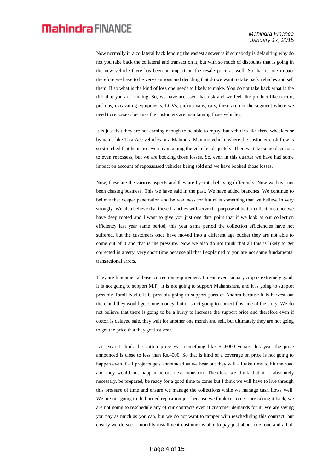Now normally in a collateral back lending the easiest answer is if somebody is defaulting why do not you take back the collateral and transact on it, but with so much of discounts that is going in the new vehicle there has been an impact on the resale price as well. So that is one impact therefore we have to be very cautious and deciding that do we want to take back vehicles and sell them. If so what is the kind of loss one needs to likely to make. You do not take back what is the risk that you are running. So, we have accessed that risk and we feel like product like tractor, pickups, excavating equipments, LCVs, pickup vans, cars, these are not the segment where we need to repossess because the customers are maintaining those vehicles.

It is just that they are not earning enough to be able to repay, but vehicles like three-wheelers or by name like Tata Ace vehicles or a Mahindra Maximo vehicle where the customer cash flow is so stretched that he is not even maintaining the vehicle adequately. Then we take some decisions to even repossess, but we are booking those losses. So, even in this quarter we have had some impact on account of repossessed vehicles being sold and we have booked those losses.

Now, these are the various aspects and they are by state behaving differently. Now we have not been chasing business. This we have said in the past. We have added branches. We continue to believe that deeper penetration and be readiness for future is something that we believe in very strongly. We also believe that these branches will serve the purpose of better collections once we have deep rooted and I want to give you just one data point that if we look at our collection efficiency last year same period, this year same period the collection efficiencies have not suffered, but the customers once have moved into a different age bucket they are not able to come out of it and that is the pressure. Now we also do not think that all this is likely to get corrected in a very, very short time because all that I explained to you are not some fundamental transactional errors.

They are fundamental basic correction requirement. I mean even January crop is extremely good, it is not going to support M.P., it is not going to support Maharashtra, and it is going to support possibly Tamil Nadu. It is possibly going to support parts of Andhra because it is harvest out there and they would get some money, but it is not going to correct this side of the story. We do not believe that there is going to be a hurry to increase the support price and therefore even if cotton is delayed sale, they wait for another one month and sell, but ultimately they are not going to get the price that they got last year.

Last year I think the cotton price was something like Rs.6000 versus this year the price announced is close to less than Rs.4000. So that is kind of a coverage on price is not going to happen even if all projects gets announced as we hear but they will all take time to hit the road and they would not happen before next monsoon. Therefore we think that it is absolutely necessary, be prepared, be ready for a good time to come but I think we will have to live through this pressure of time and ensure we manage the collections while we manage cash flows well. We are not going to do hurried reposition just because we think customers are taking it back, we are not going to reschedule any of our contracts even if customer demands for it. We are saying you pay as much as you can, but we do not want to tamper with rescheduling this contract, but clearly we do see a monthly installment customer is able to pay just about one, one-and-a-half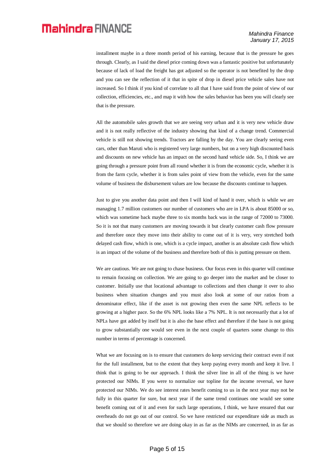installment maybe in a three month period of his earning, because that is the pressure he goes through. Clearly, as I said the diesel price coming down was a fantastic positive but unfortunately because of lack of load the freight has got adjusted so the operator is not benefited by the drop and you can see the reflection of it that in spite of drop in diesel price vehicle sales have not increased. So I think if you kind of correlate to all that I have said from the point of view of our collection, efficiencies, etc., and map it with how the sales behavior has been you will clearly see that is the pressure.

All the automobile sales growth that we are seeing very urban and it is very new vehicle draw and it is not really reflective of the industry showing that kind of a change trend. Commercial vehicle is still not showing trends. Tractors are falling by the day. You are clearly seeing even cars, other than Maruti who is registered very large numbers, but on a very high discounted basis and discounts on new vehicle has an impact on the second hand vehicle side. So, I think we are going through a pressure point from all round whether it is from the economic cycle, whether it is from the farm cycle, whether it is from sales point of view from the vehicle, even for the same volume of business the disbursement values are low because the discounts continue to happen.

Just to give you another data point and then I will kind of hand it over, which is while we are managing 1.7 million customers our number of customers who are in LPA is about 85000 or so, which was sometime back maybe three to six months back was in the range of 72000 to 73000. So it is not that many customers are moving towards it but clearly customer cash flow pressure and therefore once they move into their ability to come out of it is very, very stretched both delayed cash flow, which is one, which is a cycle impact, another is an absolute cash flow which is an impact of the volume of the business and therefore both of this is putting pressure on them.

We are cautious. We are not going to chase business. Our focus even in this quarter will continue to remain focusing on collection. We are going to go deeper into the market and be closer to customer. Initially use that locational advantage to collections and then change it over to also business when situation changes and you must also look at some of our ratios from a denominator effect, like if the asset is not growing then even the same NPL reflects to be growing at a higher pace. So the 6% NPL looks like a 7% NPL. It is not necessarily that a lot of NPLs have got added by itself but it is also the base effect and therefore if the base is not going to grow substantially one would see even in the next couple of quarters some change to this number in terms of percentage is concerned.

What we are focusing on is to ensure that customers do keep servicing their contract even if not for the full installment, but to the extent that they keep paying every month and keep it live. I think that is going to be our approach. I think the silver line in all of the thing is we have protected our NIMs. If you were to normalize our topline for the income reversal, we have protected our NIMs. We do see interest rates benefit coming to us in the next year may not be fully in this quarter for sure, but next year if the same trend continues one would see some benefit coming out of it and even for such large operations, I think, we have ensured that our overheads do not go out of our control. So we have restricted our expenditure side as much as that we should so therefore we are doing okay in as far as the NIMs are concerned, in as far as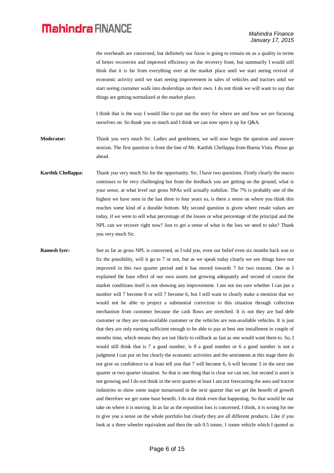the overheads are concerned, but definitely our focus is going to remain on as a quality in terms of better recoveries and improved efficiency on the recovery front, but summarily I would still think that it is far from everything over at the market place until we start seeing revival of economic activity until we start seeing improvement in sales of vehicles and tractors until we start seeing customer walk into dealerships on their own. I do not think we will want to say that things are getting normalized at the market place.

I think that is the way I would like to put out the story for where are and how we are focusing ourselves on. So thank you so much and I think we can now open it up for Q&A.

**Moderator:** Thank you very much Sir. Ladies and gentlemen, we will now begin the question and answer session. The first question is from the line of Mr. Karthik Chellappa from Buena Vista. Please go ahead.

**Karthik Chellappa:** Thank you very much Sir for the opportunity. Sir, I have two questions. Firstly clearly the macro continues to be very challenging but from the feedback you are getting on the ground, what is your sense, at what level our gross NPAs will actually stabilize. The 7% is probably one of the highest we have seen in the last three to four years so, is there a sense on where you think this reaches some kind of a durable bottom. My second question is given where resale values are today, if we were to sell what percentage of the losses or what percentage of the principal and the NPL can we recover right now? Just to get a sense of what is the loss we need to take? Thank you very much Sir.

**Ramesh Iyer:** See as far as gross NPL is concerned, as I told you, even our belief even six months back was to fix the possibility, will it go to 7 or not, but as we speak today clearly we see things have not improved in this two quarter period and it has moved towards 7 for two reasons. One as I explained the base effect of our own assets not growing adequately and second of course the market conditions itself is not showing any improvement. I am not too sure whether I can put a number will 7 become 8 or will 7 become 6, but I still want to clearly make a mention that we would not be able to project a substantial correction to this situation through collection mechanism from customer because the cash flows are stretched. It is not they are bad debt customer or they are non-available customer or the vehicles are non-available vehicles. It is just that they are only earning sufficient enough to be able to pay at best one installment in couple of months time, which means they are not likely to rollback as fast as one would want them to. So, I would still think that is 7 a good number, is 8 a good number or 6 a good number is not a judgment I can put on but clearly the economic activities and the sentiments at this stage there do not give us confidence to at least tell you that 7 will become 6, 6 will become 5 in the next one quarter or two quarter situation. So that is one thing that is clear we can see, but second is asset is not growing and I do not think in the next quarter at least I am not forecasting the auto and tractor industries to show some major turnaround in the next quarter that we get the benefit of growth and therefore we get some base benefit. I do not think even that happening. So that would be our take on where it is moving. In as far as the reposition loss is concerned, I think, it is wrong for me to give you a sense on the whole portfolio but clearly they are all different products. Like if you look at a three wheeler equivalent and then the sub 0.5 tonne, 1 tonne vehicle which I quoted as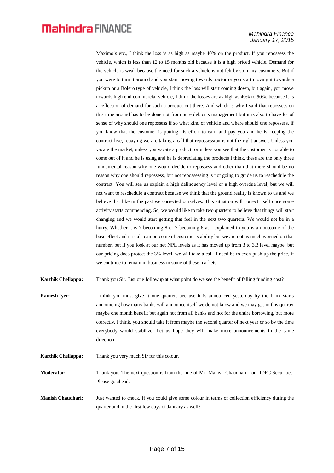#### *Mahindra Finance January 17, 2015*

Maximo's etc., I think the loss is as high as maybe 40% on the product. If you repossess the vehicle, which is less than 12 to 15 months old because it is a high priced vehicle. Demand for the vehicle is weak because the need for such a vehicle is not felt by so many customers. But if you were to turn it around and you start moving towards tractor or you start moving it towards a pickup or a Bolero type of vehicle, I think the loss will start coming down, but again, you move towards high end commercial vehicle, I think the losses are as high as 40% to 50%, because it is a reflection of demand for such a product out there. And which is why I said that repossession this time around has to be done not from pure debtor's management but it is also to have lot of sense of why should one repossess if so what kind of vehicle and where should one repossess. If you know that the customer is putting his effort to earn and pay you and he is keeping the contract live, repaying we are taking a call that repossession is not the right answer. Unless you vacate the market, unless you vacate a product, or unless you see that the customer is not able to come out of it and he is using and he is depreciating the products I think, these are the only three fundamental reason why one would decide to repossess and other than that there should be no reason why one should repossess, but not repossessing is not going to guide us to reschedule the contract. You will see us explain a high delinquency level or a high overdue level, but we will not want to reschedule a contract because we think that the ground reality is known to us and we believe that like in the past we corrected ourselves. This situation will correct itself once some activity starts commencing. So, we would like to take two quarters to believe that things will start changing and we would start getting that feel in the next two quarters. We would not be in a hurry. Whether it is 7 becoming 8 or 7 becoming 6 as I explained to you is an outcome of the base effect and it is also an outcome of customer's ability but we are not as much worried on that number, but if you look at our net NPL levels as it has moved up from 3 to 3.3 level maybe, but our pricing does protect the 3% level, we will take a call if need be to even push up the price, if we continue to remain in business in some of these markets.

- **Karthik Chellappa:** Thank you Sir. Just one followup at what point do we see the benefit of falling funding cost?
- **Ramesh Iyer:** I think you must give it one quarter, because it is announced yesterday by the bank starts announcing how many banks will announce itself we do not know and we may get in this quarter maybe one month benefit but again not from all banks and not for the entire borrowing, but more correctly, I think, you should take it from maybe the second quarter of next year or so by the time everybody would stabilize. Let us hope they will make more announcements in the same direction.
- **Karthik Chellappa:** Thank you very much Sir for this colour.

**Moderator:** Thank you. The next question is from the line of Mr. Manish Chaudhari from IDFC Securities. Please go ahead.

**Manish Chaudhari:** Just wanted to check, if you could give some colour in terms of collection efficiency during the quarter and in the first few days of January as well?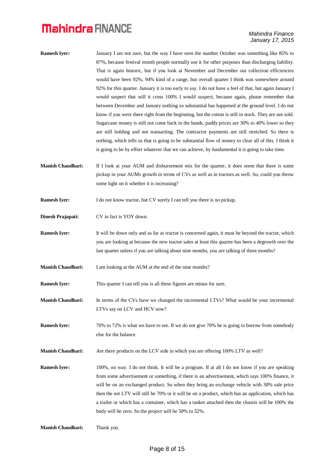- **Ramesh Iyer:** January I am not sure, but the way I have seen the number October was something like 85% to 87%, because festival month people normally use it for other purposes than discharging liability. That is again historic, but if you look at November and December out collection efficiencies would have been 92%, 94% kind of a range, but overall quarter I think was somewhere around 92% for this quarter. January it is too early to say. I do not have a feel of that, but again January I would suspect that will it cross 100% I would suspect, because again, please remember that between December and January nothing so substantial has happened at the ground level. I do not know if you were there right from the beginning, but the cotton is still in stock. They are not sold. Sugarcane money is still not come back in the hands, paddy prices are 30% to 40% lower so they are still holding and not transacting. The contractor payments are still stretched. So there is nothing, which tells us that is going to be substantial flow of money to clear all of this. I think it is going to be by effort whatever that we can achieve, by fundamental it is going to take time.
- **Manish Chaudhari:** If I look at your AUM and disbursement mix for the quarter, it does seem that there is some pickup in your AUMs growth in terms of CVs as well as in tractors as well. So, could you throw some light on it whether it is increasing?
- **Ramesh Iyer:** I do not know tractor, but CV surely I can tell you there is no pickup.
- **Dinesh Prajapati:** CV in fact is YOY down.
- **Ramesh Iyer:** It will be down only and as far as tractor is concerned again, it must be beyond the tractor, which you are looking at because the new tractor sales at least this quarter has been a degrowth over the last quarter unless if you are talking about nine months, you are talking of three months?
- **Manish Chaudhari:** I am looking at the AUM at the end of the nine months?

**Ramesh Iyer:** This quarter I can tell you is all these figures are minus for sure.

- **Manish Chaudhari:** In terms of the CVs have we changed the incremental LTVs? What would be your incremental LTVs say on LCV and HCV now?
- **Ramesh Iyer:** 70% to 72% is what we have to see. If we do not give 70% he is going to borrow from somebody else for the balance.
- **Manish Chaudhari:** Are there products on the LCV side in which you are offering 100% LTV as well?
- **Ramesh Iyer:** 100%, no way. I do not think. It will be a program. If at all I do not know if you are speaking from some advertisement or something, if there is an advertisement, which says 100% finance, it will be on an exchanged product. So when they bring an exchange vehicle with 30% sale price then the net LTV will still be 70% or it will be on a product, which has an application, which has a trailer or which has a container, which has a tanker attached then the chassis will be 100% the body will be zero. So the project will be 50% to 52%.

```
Manish Chaudhari: Thank you.
```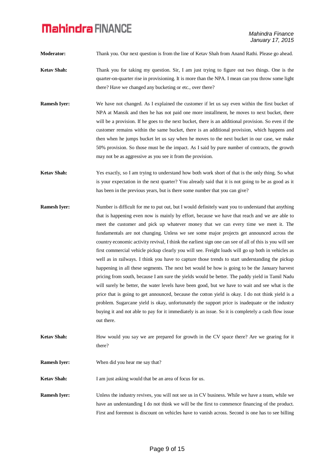**Moderator:** Thank you. Our next question is from the line of Ketav Shah from Anand Rathi. Please go ahead.

- **Ketav Shah:** Thank you for taking my question. Sir, I am just trying to figure out two things. One is the quarter-on-quarter rise in provisioning. It is more than the NPA. I mean can you throw some light there? Have we changed any bucketing or etc., over there?
- **Ramesh Iyer:** We have not changed. As I explained the customer if let us say even within the first bucket of NPA at Mansik and then he has not paid one more installment, he moves to next bucket, there will be a provision. If he goes to the next bucket, there is an additional provision. So even if the customer remains within the same bucket, there is an additional provision, which happens and then when he jumps bucket let us say when he moves to the next bucket in our case, we make 50% provision. So those must be the impact. As I said by pure number of contracts, the growth may not be as aggressive as you see it from the provision.
- **Ketav Shah:** Yes exactly, so I am trying to understand how both work short of that is the only thing. So what is your expectation in the next quarter? You already said that it is not going to be as good as it has been in the previous years, but is there some number that you can give?
- **Ramesh Iyer:** Number is difficult for me to put out, but I would definitely want you to understand that anything that is happening even now is mainly by effort, because we have that reach and we are able to meet the customer and pick up whatever money that we can every time we meet it. The fundamentals are not changing. Unless we see some major projects get announced across the country economic activity revival, I think the earliest sign one can see of all of this is you will see first commercial vehicle pickup clearly you will see. Freight loads will go up both in vehicles as well as in railways. I think you have to capture those trends to start understanding the pickup happening in all these segments. The next bet would be how is going to be the January harvest pricing from south, because I am sure the yields would be better. The paddy yield in Tamil Nadu will surely be better, the water levels have been good, but we have to wait and see what is the price that is going to get announced, because the cotton yield is okay. I do not think yield is a problem. Sugarcane yield is okay, unfortunately the support price is inadequate or the industry buying it and not able to pay for it immediately is an issue. So it is completely a cash flow issue out there.
- **Ketav Shah:** How would you say we are prepared for growth in the CV space there? Are we gearing for it there?
- **Ramesh Iyer:** When did you hear me say that?
- **Ketav Shah:** I am just asking would that be an area of focus for us.

**Ramesh Iyer:** Unless the industry revives, you will not see us in CV business. While we have a team, while we have an understanding I do not think we will be the first to commence financing of the product. First and foremost is discount on vehicles have to vanish across. Second is one has to see billing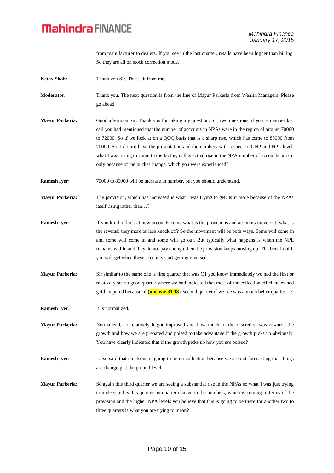from manufacturer to dealers. If you see in the last quarter, retails have been higher than billing. So they are all on stock correction mode.

- **Ketav Shah:** Thank you Sir. That is it from me.
- **Moderator:** Thank you. The next question is from the line of Mayur Parkeria from Wealth Managers. Please go ahead.
- **Mayur Parkeria:** Good afternoon Sir. Thank you for taking my question. Sir, two questions, if you remember last call you had mentioned that the number of accounts in NPAs were in the region of around 70000 to 72000. So if we look at on a QOQ basis that is a sharp rise, which has come to 85000 from 70000. So, I do not have the presentation and the numbers with respect to GNP and NPL level, what I was trying to come to the fact is, is this actual rise in the NPA number of accounts or is it only because of the bucket change, which you were experienced?
- **Ramesh Iyer:** 75000 to 85000 will be increase in number, but you should understand.
- **Mayur Parkeria:** The provision, which has increased is what I was trying to get. Is it more because of the NPAs itself rising rather than…?
- **Ramesh Iyer:** If you kind of look at new accounts come what is the provisions and accounts move out, what is the reversal they more or less knock off? So the movement will be both ways. Some will come in and some will come in and some will go out. But typically what happens is when the NPL remains within and they do not pay enough then the provision keeps moving up. The benefit of it you will get when these accounts start getting reversed.
- **Mayur Parkeria:** Sir similar to the same one is first quarter that was Q1 you know immediately we had the first or relatively not so good quarter where we had indicated that most of the collection efficiencies had got hampered because of (**unclear-31.18**), second quarter if we see was a much better quarter…?
- **Ramesh Iyer:** It is normalized.
- **Mayur Parkeria:** Normalized, so relatively it got improved and how much of the discretion was towards the growth and how we are prepared and poised to take advantage if the growth picks up obviously. You have clearly indicated that if the growth picks up how you are poised?
- **Ramesh Iyer:** I also said that our focus is going to be on collection because we are not forecasting that things are changing at the ground level.
- **Mayur Parkeria:** So again this third quarter we are seeing a substantial rise in the NPAs so what I was just trying to understand is this quarter-on-quarter change in the numbers, which is coming in terms of the provision and the higher NPA levels you believe that this is going to be there for another two to three quarters is what you are trying to mean?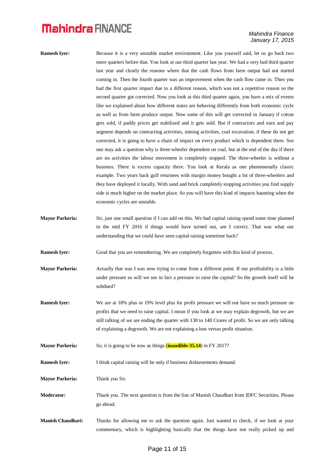- **Ramesh Iyer:** Because it is a very unstable market environment. Like you yourself said, let us go back two more quarters before that. You look at our third quarter last year. We had a very bad third quarter last year and clearly the reasons where that the cash flows from farm output had not started coming in. Then the fourth quarter was an improvement when the cash flow came in. Then you had the first quarter impact due to a different reason, which was not a repetitive reason so the second quarter got corrected. Now you look at this third quarter again, you have a mix of events like we explained about how different states are behaving differently from both economic cycle as well as from farm produce output. Now some of this will get corrected in January if cotton gets sold, if paddy prices get stabilized and it gets sold. But if contractors and earn and pay segment depends on contracting activities, mining activities, coal excavation, if these do not get corrected, it is going to have a chain of impact on every product which is dependent there. See one may ask a question why is three-wheeler dependent on coal, but at the end of the day if there are no activities the labour movement is completely stopped. The three-wheeler is without a business. There is excess capacity there. You look at Kerala as one phenomenally classic example. Two years back gulf returnees with margin money bought a lot of three-wheelers and they have deployed it locally. With sand and brick completely stopping activities you find supply side is much higher on the market place. So you will have this kind of impacts haunting when the economic cycles are unstable.
- **Mayur Parkeria:** Sir, just one small question if I can add on this. We had capital raising spend some time planned in the mid FY 2016 if things would have turned out, am I correct. That was what our understanding that we could have seen capital raising sometime back?

**Ramesh Iyer:** Good that you are remembering. We are completely forgotten with this kind of process.

- **Mayur Parkeria:** Actually that was I was now trying to come from a different point. If our profitability is a little under pressure so will we see in fact a pressure to raise the capital? So the growth itself will be subdued?
- **Ramesh Iyer:** We are at 18% plus or 19% level plus for profit pressure we will not have so much pressure on profits that we need to raise capital. I mean if you look at we may explain degrowth, but we are still talking of we are ending the quarter with 130 to 140 Crores of profit. So we are only talking of explaining a degrowth. We are not explaining a loss versus profit situation.
- **Mayur Parkeria:** So, it is going to be now as things (**inaudible-35.14**) in FY 2017?

**Ramesh Iyer:** I think capital raising will be only if business disbursements demand.

**Mayur Parkeria:** Thank you Sir.

- **Moderator:** Thank you. The next question is from the line of Manish Chaudhari from IDFC Securities. Please go ahead.
- **Manish Chaudhari:** Thanks for allowing me to ask the question again. Just wanted to check, if we look at your commentary, which is highlighting basically that the things have not really picked up and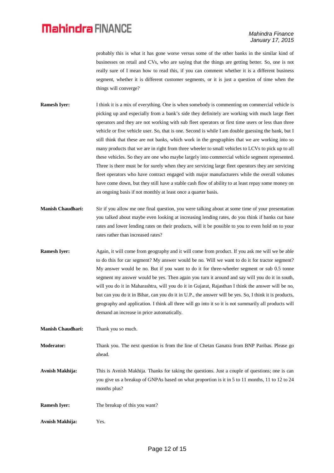#### *Mahindra Finance January 17, 2015*

probably this is what it has gone worse versus some of the other banks in the similar kind of businesses on retail and CVs, who are saying that the things are getting better. So, one is not really sure of I mean how to read this, if you can comment whether it is a different business segment, whether it is different customer segments, or it is just a question of time when the things will converge?

- **Ramesh Iyer:** I think it is a mix of everything. One is when somebody is commenting on commercial vehicle is picking up and especially from a bank's side they definitely are working with much large fleet operators and they are not working with sub fleet operators or first time users or less than three vehicle or five vehicle user. So, that is one. Second is while I am double guessing the bank, but I still think that these are not banks, which work in the geographies that we are working into so many products that we are in right from three wheeler to small vehicles to LCVs to pick up to all these vehicles. So they are one who maybe largely into commercial vehicle segment represented. Three is there must be for surely when they are servicing large fleet operators they are servicing fleet operators who have contract engaged with major manufacturers while the overall volumes have come down, but they still have a stable cash flow of ability to at least repay some money on an ongoing basis if not monthly at least once a quarter basis.
- **Manish Chaudhari:** Sir if you allow me one final question, you were talking about at some time of your presentation you talked about maybe even looking at increasing lending rates, do you think if banks cut base rates and lower lending rates on their products, will it be possible to you to even hold on to your rates rather than increased rates?
- **Ramesh Iyer:** Again, it will come from geography and it will come from product. If you ask me will we be able to do this for car segment? My answer would be no. Will we want to do it for tractor segment? My answer would be no. But if you want to do it for three-wheeler segment or sub 0.5 tonne segment my answer would be yes. Then again you turn it around and say will you do it in south, will you do it in Maharashtra, will you do it in Gujarat, Rajasthan I think the answer will be no, but can you do it in Bihar, can you do it in U.P., the answer will be yes. So, I think it is products, geography and application. I think all three will go into it so it is not summarily all products will demand an increase in price automatically.
- **Manish Chaudhari:** Thank you so much.

**Moderator:** Thank you. The next question is from the line of Chetan Ganatra from BNP Paribas. Please go ahead.

- **Avnish Makhija:** This is Avnish Makhija. Thanks for taking the questions. Just a couple of questions; one is can you give us a breakup of GNPAs based on what proportion is it in 5 to 11 months, 11 to 12 to 24 months plus?
- **Ramesh Iver:** The breakup of this you want?
- **Avnish Makhija:** Yes.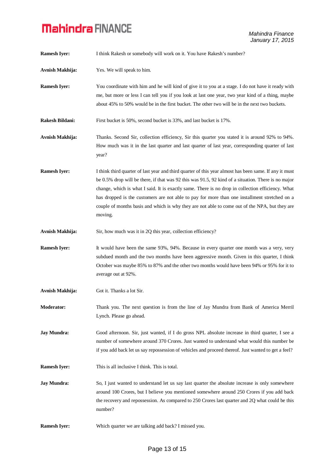| <b>Ramesh Iyer:</b>    | I think Rakesh or somebody will work on it. You have Rakesh's number?                                                                                                                                                                                                                                                                                                                                                                                                                                                            |
|------------------------|----------------------------------------------------------------------------------------------------------------------------------------------------------------------------------------------------------------------------------------------------------------------------------------------------------------------------------------------------------------------------------------------------------------------------------------------------------------------------------------------------------------------------------|
| Avnish Makhija:        | Yes. We will speak to him.                                                                                                                                                                                                                                                                                                                                                                                                                                                                                                       |
| <b>Ramesh Iyer:</b>    | You coordinate with him and he will kind of give it to you at a stage. I do not have it ready with<br>me, but more or less I can tell you if you look at last one year, two year kind of a thing, maybe<br>about 45% to 50% would be in the first bucket. The other two will be in the next two buckets.                                                                                                                                                                                                                         |
| <b>Rakesh Bildani:</b> | First bucket is 50%, second bucket is 33%, and last bucket is 17%.                                                                                                                                                                                                                                                                                                                                                                                                                                                               |
| Avnish Makhija:        | Thanks. Second Sir, collection efficiency, Sir this quarter you stated it is around 92% to 94%.<br>How much was it in the last quarter and last quarter of last year, corresponding quarter of last<br>year?                                                                                                                                                                                                                                                                                                                     |
| <b>Ramesh Iyer:</b>    | I think third quarter of last year and third quarter of this year almost has been same. If any it must<br>be 0.5% drop will be there, if that was 92 this was 91.5, 92 kind of a situation. There is no major<br>change, which is what I said. It is exactly same. There is no drop in collection efficiency. What<br>has dropped is the customers are not able to pay for more than one installment stretched on a<br>couple of months basis and which is why they are not able to come out of the NPA, but they are<br>moving. |
| Avnish Makhija:        | Sir, how much was it in 2Q this year, collection efficiency?                                                                                                                                                                                                                                                                                                                                                                                                                                                                     |
| <b>Ramesh Iyer:</b>    | It would have been the same 93%, 94%. Because in every quarter one month was a very, very<br>subdued month and the two months have been aggressive month. Given in this quarter, I think<br>October was maybe 85% to 87% and the other two months would have been 94% or 95% for it to<br>average out at 92%.                                                                                                                                                                                                                    |
| Avnish Makhija:        | Got it. Thanks a lot Sir.                                                                                                                                                                                                                                                                                                                                                                                                                                                                                                        |
| <b>Moderator:</b>      | Thank you. The next question is from the line of Jay Mundra from Bank of America Merril<br>Lynch. Please go ahead.                                                                                                                                                                                                                                                                                                                                                                                                               |
| <b>Jay Mundra:</b>     | Good afternoon. Sir, just wanted, if I do gross NPL absolute increase in third quarter, I see a<br>number of somewhere around 370 Crores. Just wanted to understand what would this number be<br>if you add back let us say repossession of vehicles and proceed thereof. Just wanted to get a feel?                                                                                                                                                                                                                             |
| <b>Ramesh Iyer:</b>    | This is all inclusive I think. This is total.                                                                                                                                                                                                                                                                                                                                                                                                                                                                                    |
| <b>Jay Mundra:</b>     | So, I just wanted to understand let us say last quarter the absolute increase is only somewhere<br>around 100 Crores, but I believe you mentioned somewhere around 250 Crores if you add back<br>the recovery and repossession. As compared to 250 Crores last quarter and 2Q what could be this<br>number?                                                                                                                                                                                                                      |
| <b>Ramesh Iyer:</b>    | Which quarter we are talking add back? I missed you.                                                                                                                                                                                                                                                                                                                                                                                                                                                                             |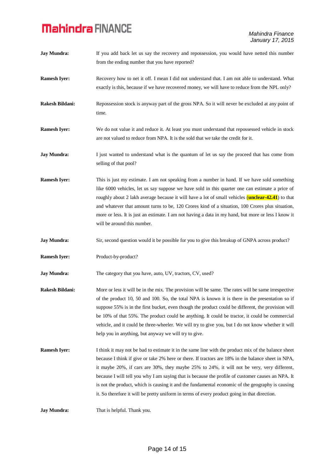| <b>Jay Mundra:</b>     | If you add back let us say the recovery and repossession, you would have netted this number<br>from the ending number that you have reported?                                                                                                                                                                                                                                                                                                                                                                                                                                 |
|------------------------|-------------------------------------------------------------------------------------------------------------------------------------------------------------------------------------------------------------------------------------------------------------------------------------------------------------------------------------------------------------------------------------------------------------------------------------------------------------------------------------------------------------------------------------------------------------------------------|
| <b>Ramesh Iyer:</b>    | Recovery how to net it off. I mean I did not understand that. I am not able to understand. What<br>exactly is this, because if we have recovered money, we will have to reduce from the NPL only?                                                                                                                                                                                                                                                                                                                                                                             |
| <b>Rakesh Bildani:</b> | Repossession stock is anyway part of the gross NPA. So it will never be excluded at any point of<br>time.                                                                                                                                                                                                                                                                                                                                                                                                                                                                     |
| <b>Ramesh Iyer:</b>    | We do not value it and reduce it. At least you must understand that repossessed vehicle in stock<br>are not valued to reduce from NPA. It is the sold that we take the credit for it.                                                                                                                                                                                                                                                                                                                                                                                         |
| <b>Jay Mundra:</b>     | I just wanted to understand what is the quantum of let us say the proceed that has come from<br>selling of that pool?                                                                                                                                                                                                                                                                                                                                                                                                                                                         |
| <b>Ramesh Iyer:</b>    | This is just my estimate. I am not speaking from a number in hand. If we have sold something<br>like 6000 vehicles, let us say suppose we have sold in this quarter one can estimate a price of<br>roughly about 2 lakh average because it will have a lot of small vehicles ( <b>unclear-42.41</b> ) to that<br>and whatever that amount turns to be, 120 Crores kind of a situation, 100 Crores plus situation,<br>more or less. It is just an estimate. I am not having a data in my hand, but more or less I know it<br>will be around this number.                       |
| <b>Jay Mundra:</b>     | Sir, second question would it be possible for you to give this breakup of GNPA across product?                                                                                                                                                                                                                                                                                                                                                                                                                                                                                |
| <b>Ramesh Iyer:</b>    | Product-by-product?                                                                                                                                                                                                                                                                                                                                                                                                                                                                                                                                                           |
| <b>Jay Mundra:</b>     | The category that you have, auto, UV, tractors, CV, used?                                                                                                                                                                                                                                                                                                                                                                                                                                                                                                                     |
| <b>Rakesh Bildani:</b> | More or less it will be in the mix. The provision will be same. The rates will be same irrespective<br>of the product 10, 50 and 100. So, the total NPA is known it is there in the presentation so if<br>suppose 55% is in the first bucket, even though the product could be different, the provision will<br>be 10% of that 55%. The product could be anything. It could be tractor, it could be commercial<br>vehicle, and it could be three-wheeler. We will try to give you, but I do not know whether it will<br>help you in anything, but anyway we will try to give. |
| <b>Ramesh Iyer:</b>    | I think it may not be bad to estimate it in the same line with the product mix of the balance sheet                                                                                                                                                                                                                                                                                                                                                                                                                                                                           |
|                        | because I think if give or take 2% here or there. If tractors are 18% in the balance sheet in NPA,<br>it maybe 20%, if cars are 30%, they maybe 25% to 24%, it will not be very, very different,<br>because I will tell you why I am saying that is because the profile of customer causes an NPA. It<br>is not the product, which is causing it and the fundamental economic of the geography is causing<br>it. So therefore it will be pretty uniform in terms of every product going in that direction.                                                                    |